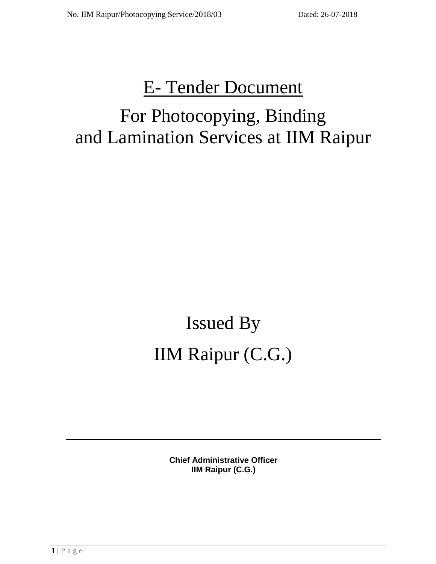# E- Tender Document

# For Photocopying, Binding and Lamination Services at IIM Raipur

# Issued By IIM Raipur (C.G.)

**Chief Administrative Officer IIM Raipur (C.G.)**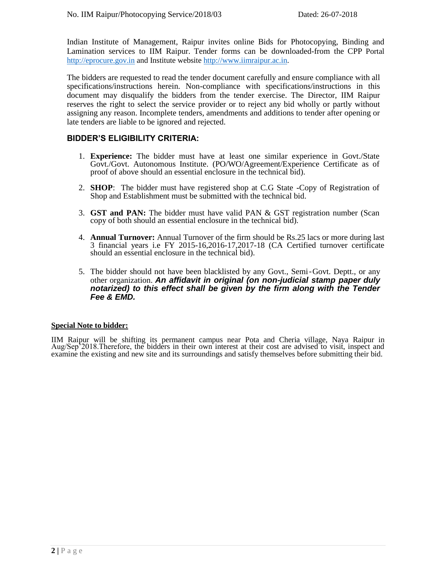Indian Institute of Management, Raipur invites online Bids for Photocopying, Binding and Lamination services to IIM Raipur. Tender forms can be downloaded-from the CPP Portal [http://eprocure.gov.in](http://eprocure.gov.in/) and Institute website [http://www.iimraipur.ac.in.](http://www.iimraipur.ac.in/)

The bidders are requested to read the tender document carefully and ensure compliance with all specifications/instructions herein. Non-compliance with specifications/instructions in this document may disqualify the bidders from the tender exercise. The Director, IIM Raipur reserves the right to select the service provider or to reject any bid wholly or partly without assigning any reason. Incomplete tenders, amendments and additions to tender after opening or late tenders are liable to be ignored and rejected.

# **BIDDER'S ELIGIBILITY CRITERIA:**

- 1. **Experience:** The bidder must have at least one similar experience in Govt./State Govt./Govt. Autonomous Institute. (PO/WO/Agreement/Experience Certificate as of proof of above should an essential enclosure in the technical bid).
- 2. **SHOP**: The bidder must have registered shop at C.G State **-**Copy of Registration of Shop and Establishment must be submitted with the technical bid.
- 3. **GST and PAN:** The bidder must have valid PAN & GST registration number (Scan copy of both should an essential enclosure in the technical bid).
- 4. **Annual Turnover:** Annual Turnover of the firm should be Rs.25 lacs or more during last 3 financial years i.e FY 2015-16,2016-17,2017-18 (CA Certified turnover certificate should an essential enclosure in the technical bid).
- 5. The bidder should not have been blacklisted by any Govt., Semi‐Govt. Deptt., or any other organization. *An affidavit in original (on non-judicial stamp paper duly notarized) to this effect shall be given by the firm along with the Tender Fee & EMD.*

#### **Special Note to bidder:**

IIM Raipur will be shifting its permanent campus near Pota and Cheria village, Naya Raipur in Aug/Sep'2018.Therefore, the bidders in their own interest at their cost are advised to visit, inspect and examine the existing and new site and its surroundings and satisfy themselves before submitting their bid.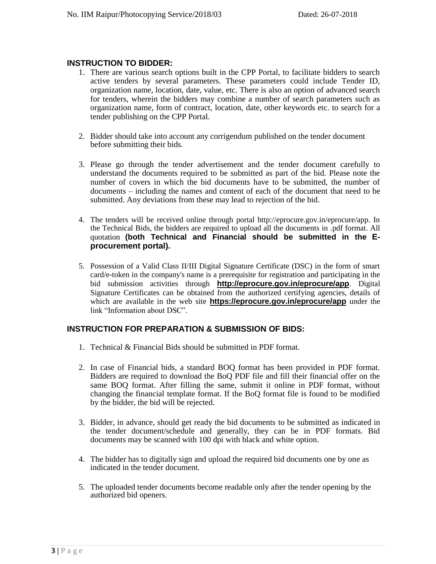# **INSTRUCTION TO BIDDER:**

- 1. There are various search options built in the CPP Portal, to facilitate bidders to search active tenders by several parameters. These parameters could include Tender ID, organization name, location, date, value, etc. There is also an option of advanced search for tenders, wherein the bidders may combine a number of search parameters such as organization name, form of contract, location, date, other keywords etc. to search for a tender publishing on the CPP Portal.
- 2. Bidder should take into account any corrigendum published on the tender document before submitting their bids.
- 3. Please go through the tender advertisement and the tender document carefully to understand the documents required to be submitted as part of the bid. Please note the number of covers in which the bid documents have to be submitted, the number of documents – including the names and content of each of the document that need to be submitted. Any deviations from these may lead to rejection of the bid.
- 4. The tenders will be received online through portal http://eprocure.gov.in/eprocure/app. In the Technical Bids, the bidders are required to upload all the documents in .pdf format. All quotation **(both Technical and Financial should be submitted in the Eprocurement portal).**
- 5. Possession of a Valid Class II/III Digital Signature Certificate (DSC) in the form of smart card/e-token in the company's name is a prerequisite for registration and participating in the bid submission activities through **http://eprocure.gov.in/eprocure/app**. Digital Signature Certificates can be obtained from the authorized certifying agencies, details of which are available in the web site **https://eprocure.gov.in/eprocure/app** under the link "Information about DSC".

# **INSTRUCTION FOR PREPARATION & SUBMISSION OF BIDS:**

- 1. Technical & Financial Bids should be submitted in PDF format.
- 2. In case of Financial bids, a standard BOQ format has been provided in PDF format. Bidders are required to download the BoQ PDF file and fill their financial offer on the same BOQ format. After filling the same, submit it online in PDF format, without changing the financial template format. If the BoQ format file is found to be modified by the bidder, the bid will be rejected.
- 3. Bidder, in advance, should get ready the bid documents to be submitted as indicated in the tender document/schedule and generally, they can be in PDF formats. Bid documents may be scanned with 100 dpi with black and white option.
- 4. The bidder has to digitally sign and upload the required bid documents one by one as indicated in the tender document.
- 5. The uploaded tender documents become readable only after the tender opening by the authorized bid openers.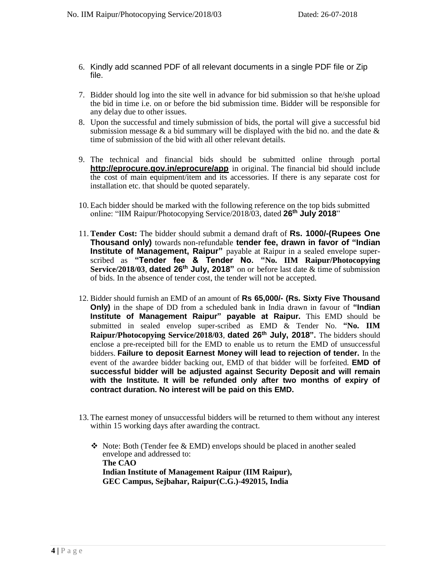- 6. Kindly add scanned PDF of all relevant documents in a single PDF file or Zip file.
- 7. Bidder should log into the site well in advance for bid submission so that he/she upload the bid in time i.e. on or before the bid submission time. Bidder will be responsible for any delay due to other issues.
- 8. Upon the successful and timely submission of bids, the portal will give a successful bid submission message & a bid summary will be displayed with the bid no. and the date & time of submission of the bid with all other relevant details.
- 9. The technical and financial bids should be submitted online through portal **http://eprocure.gov.in/eprocure/app** in original. The financial bid should include the cost of main equipment/item and its accessories. If there is any separate cost for installation etc. that should be quoted separately.
- 10. Each bidder should be marked with the following reference on the top bids submitted online: "IIM Raipur/Photocopying Service/2018/03, dated **26 th July 2018**"
- 11. **Tender Cost:** The bidder should submit a demand draft of **Rs. 1000/-(Rupees One Thousand only)** towards non-refundable **tender fee, drawn in favor of "Indian Institute of Management, Raipur"** payable at Raipur in a sealed envelope superscribed as **"Tender fee & Tender No. "No. IIM Raipur/Photocopying**  Service/2018/03, dated 26<sup>th</sup> July, 2018" on or before last date & time of submission of bids. In the absence of tender cost, the tender will not be accepted.
- 12. Bidder should furnish an EMD of an amount of **Rs 65,000/- (Rs. Sixty Five Thousand Only)** in the shape of DD from a scheduled bank in India drawn in favour of **"Indian Institute of Management Raipur" payable at Raipur.** This EMD should be submitted in sealed envelop super-scribed as EMD & Tender No. **"No. IIM Raipur/Photocopying Service/2018/03**, **dated 26th July, 2018".** The bidders should enclose a pre-receipted bill for the EMD to enable us to return the EMD of unsuccessful bidders. **Failure to deposit Earnest Money will lead to rejection of tender.** In the event of the awardee bidder backing out, EMD of that bidder will be forfeited. **EMD of successful bidder will be adjusted against Security Deposit and will remain with the Institute. It will be refunded only after two months of expiry of contract duration. No interest will be paid on this EMD.**
- 13. The earnest money of unsuccessful bidders will be returned to them without any interest within 15 working days after awarding the contract.
	- ❖ Note: Both (Tender fee & EMD) envelops should be placed in another sealed envelope and addressed to: **The CAO Indian Institute of Management Raipur (IIM Raipur), GEC Campus, Sejbahar, Raipur(C.G.)-492015, India**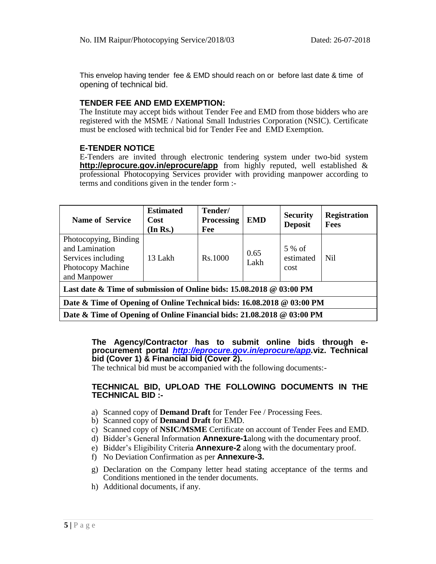This envelop having tender fee & EMD should reach on or before last date & time of opening of technical bid.

# **TENDER FEE AND EMD EXEMPTION:**

The Institute may accept bids without Tender Fee and EMD from those bidders who are registered with the MSME / National Small Industries Corporation (NSIC). Certificate must be enclosed with technical bid for Tender Fee and EMD Exemption.

# **E-TENDER NOTICE**

E-Tenders are invited through electronic tendering system under two-bid system **http://eprocure.gov.in/eprocure/app** from highly reputed, well established & professional Photocopying Services provider with providing manpower according to terms and conditions given in the tender form :-

| <b>Name of Service</b>                                                                             | <b>Estimated</b><br>Cost<br>(In Rs.) | Tender/<br><b>Processing</b><br>Fee | <b>EMD</b>   | <b>Security</b><br><b>Deposit</b> | <b>Registration</b><br><b>Fees</b> |  |  |  |  |
|----------------------------------------------------------------------------------------------------|--------------------------------------|-------------------------------------|--------------|-----------------------------------|------------------------------------|--|--|--|--|
| Photocopying, Binding<br>and Lamination<br>Services including<br>Photocopy Machine<br>and Manpower | 13 Lakh                              | R <sub>s</sub> 1000                 | 0.65<br>Lakh | 5 % of<br>estimated<br>cost       | Ni1                                |  |  |  |  |
| Last date & Time of submission of Online bids: $15.08.2018 \& 03:00 \text{ PM}$                    |                                      |                                     |              |                                   |                                    |  |  |  |  |
| Date & Time of Opening of Online Technical bids: 16.08.2018 @ 03:00 PM                             |                                      |                                     |              |                                   |                                    |  |  |  |  |
| Date & Time of Opening of Online Financial bids: 21.08.2018 @ 03:00 PM                             |                                      |                                     |              |                                   |                                    |  |  |  |  |

**The Agency/Contractor has to submit online bids through eprocurement portal** *http://eprocure.gov.in/eprocure/app.***viz. Technical bid (Cover 1) & Financial bid (Cover 2).**

The technical bid must be accompanied with the following documents:-

### **TECHNICAL BID, UPLOAD THE FOLLOWING DOCUMENTS IN THE TECHNICAL BID :-**

- a) Scanned copy of **Demand Draft** for Tender Fee / Processing Fees.
- b) Scanned copy of **Demand Draft** for EMD.
- c) Scanned copy of **NSIC/MSME** Certificate on account of Tender Fees and EMD.
- d) Bidder's General Information **Annexure-1**along with the documentary proof.
- e) Bidder's Eligibility Criteria **Annexure-2** along with the documentary proof.
- f) No Deviation Confirmation as per **Annexure-3.**
- g) Declaration on the Company letter head stating acceptance of the terms and Conditions mentioned in the tender documents.
- h) Additional documents, if any.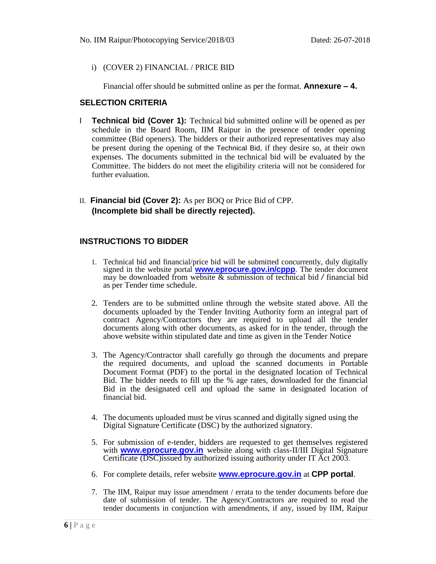# i) (COVER 2) FINANCIAL / PRICE BID

Financial offer should be submitted online as per the format. **Annexure – 4.**

# **SELECTION CRITERIA**

- I **Technical bid (Cover 1):** Technical bid submitted online will be opened as per schedule in the Board Room, IIM Raipur in the presence of tender opening committee (Bid openers). The bidders or their authorized representatives may also be present during the opening of the Technical Bid, if they desire so, at their own expenses. The documents submitted in the technical bid will be evaluated by the Committee. The bidders do not meet the eligibility criteria will not be considered for further evaluation.
- II. **Financial bid (Cover 2):** As per BOQ or Price Bid of CPP. **(Incomplete bid shall be directly rejected).**

# **INSTRUCTIONS TO BIDDER**

- 1. Technical bid and financial/price bid will be submitted concurrently, duly digitally signed in the website portal **www.eprocure.gov.in/cppp**. The tender document may be downloaded from website & submission of technical bid */* financial bid as per Tender time schedule.
- 2. Tenders are to be submitted online through the website stated above. All the documents uploaded by the Tender Inviting Authority form an integral part of contract Agency/Contractors they are required to upload all the tender documents along with other documents, as asked for in the tender, through the above website within stipulated date and time as given in the Tender Notice
- 3. The Agency/Contractor shall carefully go through the documents and prepare the required documents, and upload the scanned documents in Portable Document Format (PDF) to the portal in the designated location of Technical Bid. The bidder needs to fill up the % age rates, downloaded for the financial Bid in the designated cell and upload the same in designated location of financial bid.
- 4. The documents uploaded must be virus scanned and digitally signed using the Digital Signature Certificate (DSC) by the authorized signatory.
- 5. For submission of e-tender, bidders are requested to get themselves registered with **www.eprocure.gov.in** website along with class-II/III Digital Signature Certificate (DSC)issued by authorized issuing authority under IT Act 2003.
- 6. For complete details, refer website **www.eprocure.gov.in** at **CPP portal**.
- 7. The IIM, Raipur may issue amendment / errata to the tender documents before due date of submission of tender. The Agency/Contractors are required to read the tender documents in conjunction with amendments, if any, issued by IIM, Raipur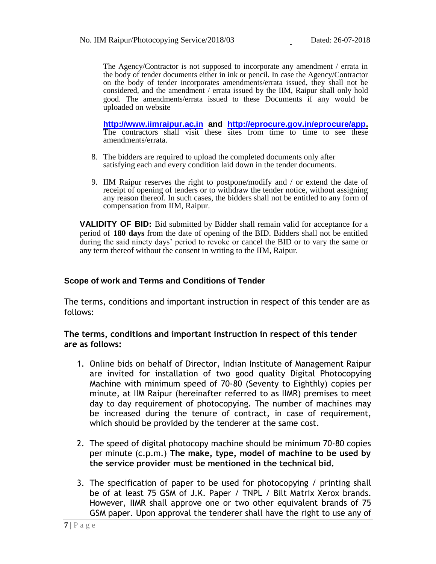The Agency/Contractor is not supposed to incorporate any amendment / errata in the body of tender documents either in ink or pencil. In case the Agency/Contractor on the body of tender incorporates amendments/errata issued, they shall not be considered, and the amendment / errata issued by the IIM, Raipur shall only hold good. The amendments/errata issued to these Documents if any would be uploaded on website

**http://www.iimraipur.ac.in and http://eprocure.gov.in/eprocure/app.** The contractors shall visit these sites from time to time to see these amendments/errata.

- 8. The bidders are required to upload the completed documents only after satisfying each and every condition laid down in the tender documents.
- 9. IIM Raipur reserves the right to postpone/modify and / or extend the date of receipt of opening of tenders or to withdraw the tender notice, without assigning any reason thereof. In such cases, the bidders shall not be entitled to any form of compensation from IIM, Raipur.

**VALIDITY OF BID:** Bid submitted by Bidder shall remain valid for acceptance for a period of **180 days** from the date of opening of the BID. Bidders shall not be entitled during the said ninety days' period to revoke or cancel the BID or to vary the same or any term thereof without the consent in writing to the IIM, Raipur.

# **Scope of work and Terms and Conditions of Tender**

The terms, conditions and important instruction in respect of this tender are as follows:

# **The terms, conditions and important instruction in respect of this tender are as follows:**

- 1. Online bids on behalf of Director, Indian Institute of Management Raipur are invited for installation of two good quality Digital Photocopying Machine with minimum speed of 70-80 (Seventy to Eighthly) copies per minute, at IIM Raipur (hereinafter referred to as IIMR) premises to meet day to day requirement of photocopying. The number of machines may be increased during the tenure of contract, in case of requirement, which should be provided by the tenderer at the same cost.
- 2. The speed of digital photocopy machine should be minimum 70-80 copies per minute (c.p.m.) **The make, type, model of machine to be used by the service provider must be mentioned in the technical bid.**
- 3. The specification of paper to be used for photocopying / printing shall be of at least 75 GSM of J.K. Paper / TNPL / Bilt Matrix Xerox brands. However, IIMR shall approve one or two other equivalent brands of 75 GSM paper. Upon approval the tenderer shall have the right to use any of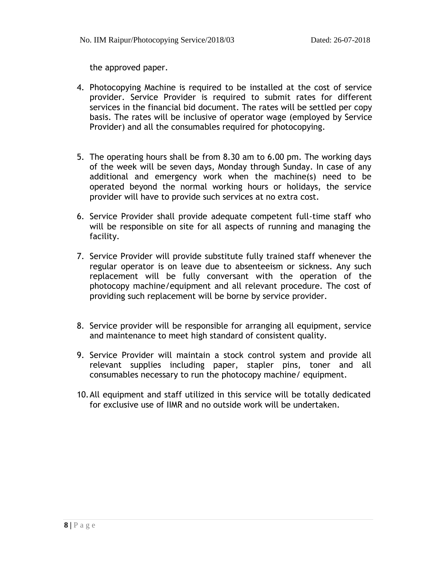the approved paper.

- 4. Photocopying Machine is required to be installed at the cost of service provider. Service Provider is required to submit rates for different services in the financial bid document. The rates will be settled per copy basis. The rates will be inclusive of operator wage (employed by Service Provider) and all the consumables required for photocopying.
- 5. The operating hours shall be from 8.30 am to 6.00 pm. The working days of the week will be seven days, Monday through Sunday. In case of any additional and emergency work when the machine(s) need to be operated beyond the normal working hours or holidays, the service provider will have to provide such services at no extra cost.
- 6. Service Provider shall provide adequate competent full-time staff who will be responsible on site for all aspects of running and managing the facility.
- 7. Service Provider will provide substitute fully trained staff whenever the regular operator is on leave due to absenteeism or sickness. Any such replacement will be fully conversant with the operation of the photocopy machine/equipment and all relevant procedure. The cost of providing such replacement will be borne by service provider.
- 8. Service provider will be responsible for arranging all equipment, service and maintenance to meet high standard of consistent quality.
- 9. Service Provider will maintain a stock control system and provide all relevant supplies including paper, stapler pins, toner and all consumables necessary to run the photocopy machine/ equipment.
- 10.All equipment and staff utilized in this service will be totally dedicated for exclusive use of IIMR and no outside work will be undertaken.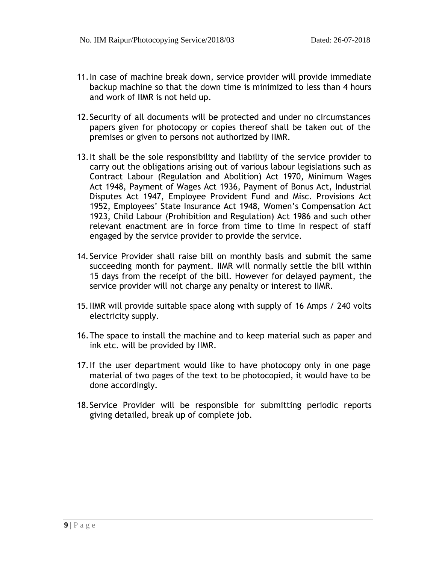- 11.In case of machine break down, service provider will provide immediate backup machine so that the down time is minimized to less than 4 hours and work of IIMR is not held up.
- 12.Security of all documents will be protected and under no circumstances papers given for photocopy or copies thereof shall be taken out of the premises or given to persons not authorized by IIMR.
- 13.It shall be the sole responsibility and liability of the service provider to carry out the obligations arising out of various labour legislations such as Contract Labour (Regulation and Abolition) Act 1970, Minimum Wages Act 1948, Payment of Wages Act 1936, Payment of Bonus Act, Industrial Disputes Act 1947, Employee Provident Fund and Misc. Provisions Act 1952, Employees' State Insurance Act 1948, Women's Compensation Act 1923, Child Labour (Prohibition and Regulation) Act 1986 and such other relevant enactment are in force from time to time in respect of staff engaged by the service provider to provide the service.
- 14. Service Provider shall raise bill on monthly basis and submit the same succeeding month for payment. IIMR will normally settle the bill within 15 days from the receipt of the bill. However for delayed payment, the service provider will not charge any penalty or interest to IIMR.
- 15.IIMR will provide suitable space along with supply of 16 Amps / 240 volts electricity supply.
- 16.The space to install the machine and to keep material such as paper and ink etc. will be provided by IIMR.
- 17.If the user department would like to have photocopy only in one page material of two pages of the text to be photocopied, it would have to be done accordingly.
- 18.Service Provider will be responsible for submitting periodic reports giving detailed, break up of complete job.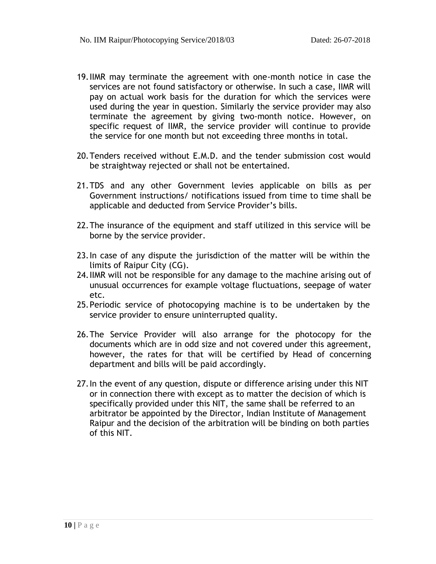- 19.IIMR may terminate the agreement with one-month notice in case the services are not found satisfactory or otherwise. In such a case, IIMR will pay on actual work basis for the duration for which the services were used during the year in question. Similarly the service provider may also terminate the agreement by giving two-month notice. However, on specific request of IIMR, the service provider will continue to provide the service for one month but not exceeding three months in total.
- 20.Tenders received without E.M.D. and the tender submission cost would be straightway rejected or shall not be entertained.
- 21.TDS and any other Government levies applicable on bills as per Government instructions/ notifications issued from time to time shall be applicable and deducted from Service Provider's bills.
- 22.The insurance of the equipment and staff utilized in this service will be borne by the service provider.
- 23.In case of any dispute the jurisdiction of the matter will be within the limits of Raipur City (CG).
- 24.IIMR will not be responsible for any damage to the machine arising out of unusual occurrences for example voltage fluctuations, seepage of water etc.
- 25.Periodic service of photocopying machine is to be undertaken by the service provider to ensure uninterrupted quality.
- 26.The Service Provider will also arrange for the photocopy for the documents which are in odd size and not covered under this agreement, however, the rates for that will be certified by Head of concerning department and bills will be paid accordingly.
- 27.In the event of any question, dispute or difference arising under this NIT or in connection there with except as to matter the decision of which is specifically provided under this NIT, the same shall be referred to an arbitrator be appointed by the Director, Indian Institute of Management Raipur and the decision of the arbitration will be binding on both parties of this NIT.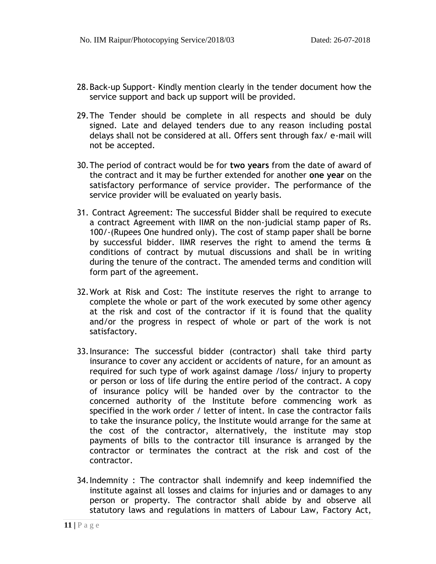- 28.Back-up Support- Kindly mention clearly in the tender document how the service support and back up support will be provided.
- 29.The Tender should be complete in all respects and should be duly signed. Late and delayed tenders due to any reason including postal delays shall not be considered at all. Offers sent through fax/ e-mail will not be accepted.
- 30.The period of contract would be for **two years** from the date of award of the contract and it may be further extended for another **one year** on the satisfactory performance of service provider. The performance of the service provider will be evaluated on yearly basis.
- 31. Contract Agreement: The successful Bidder shall be required to execute a contract Agreement with IIMR on the non-judicial stamp paper of Rs. 100/-(Rupees One hundred only). The cost of stamp paper shall be borne by successful bidder. IIMR reserves the right to amend the terms & conditions of contract by mutual discussions and shall be in writing during the tenure of the contract. The amended terms and condition will form part of the agreement.
- 32.Work at Risk and Cost: The institute reserves the right to arrange to complete the whole or part of the work executed by some other agency at the risk and cost of the contractor if it is found that the quality and/or the progress in respect of whole or part of the work is not satisfactory.
- 33.Insurance: The successful bidder (contractor) shall take third party insurance to cover any accident or accidents of nature, for an amount as required for such type of work against damage /loss/ injury to property or person or loss of life during the entire period of the contract. A copy of insurance policy will be handed over by the contractor to the concerned authority of the Institute before commencing work as specified in the work order / letter of intent. In case the contractor fails to take the insurance policy, the Institute would arrange for the same at the cost of the contractor, alternatively, the institute may stop payments of bills to the contractor till insurance is arranged by the contractor or terminates the contract at the risk and cost of the contractor.
- 34.Indemnity : The contractor shall indemnify and keep indemnified the institute against all losses and claims for injuries and or damages to any person or property. The contractor shall abide by and observe all statutory laws and regulations in matters of Labour Law, Factory Act,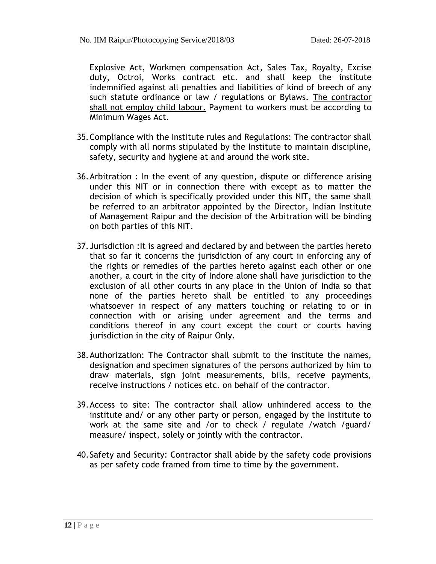Explosive Act, Workmen compensation Act, Sales Tax, Royalty, Excise duty, Octroi, Works contract etc. and shall keep the institute indemnified against all penalties and liabilities of kind of breech of any such statute ordinance or law / regulations or Bylaws. The contractor shall not employ child labour. Payment to workers must be according to Minimum Wages Act.

- 35.Compliance with the Institute rules and Regulations: The contractor shall comply with all norms stipulated by the Institute to maintain discipline, safety, security and hygiene at and around the work site.
- 36.Arbitration : In the event of any question, dispute or difference arising under this NIT or in connection there with except as to matter the decision of which is specifically provided under this NIT, the same shall be referred to an arbitrator appointed by the Director, Indian Institute of Management Raipur and the decision of the Arbitration will be binding on both parties of this NIT.
- 37.Jurisdiction :It is agreed and declared by and between the parties hereto that so far it concerns the jurisdiction of any court in enforcing any of the rights or remedies of the parties hereto against each other or one another, a court in the city of Indore alone shall have jurisdiction to the exclusion of all other courts in any place in the Union of India so that none of the parties hereto shall be entitled to any proceedings whatsoever in respect of any matters touching or relating to or in connection with or arising under agreement and the terms and conditions thereof in any court except the court or courts having jurisdiction in the city of Raipur Only.
- 38.Authorization: The Contractor shall submit to the institute the names, designation and specimen signatures of the persons authorized by him to draw materials, sign joint measurements, bills, receive payments, receive instructions / notices etc. on behalf of the contractor.
- 39.Access to site: The contractor shall allow unhindered access to the institute and/ or any other party or person, engaged by the Institute to work at the same site and /or to check / regulate /watch /guard/ measure/ inspect, solely or jointly with the contractor.
- 40.Safety and Security: Contractor shall abide by the safety code provisions as per safety code framed from time to time by the government.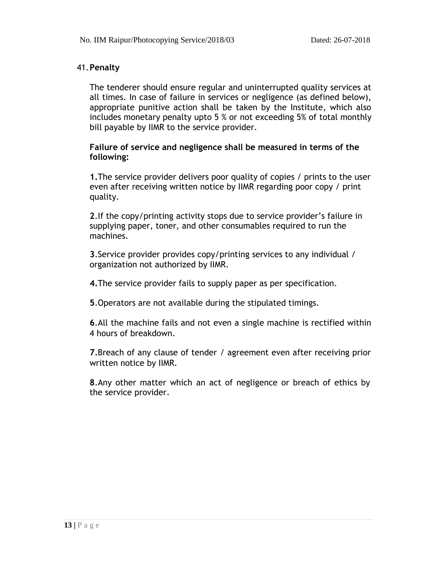# 41.**Penalty**

The tenderer should ensure regular and uninterrupted quality services at all times. In case of failure in services or negligence (as defined below), appropriate punitive action shall be taken by the Institute, which also includes monetary penalty upto 5 % or not exceeding 5% of total monthly bill payable by IIMR to the service provider.

# **Failure of service and negligence shall be measured in terms of the following:**

**1.**The service provider delivers poor quality of copies / prints to the user even after receiving written notice by IIMR regarding poor copy / print quality.

**2**.If the copy/printing activity stops due to service provider's failure in supplying paper, toner, and other consumables required to run the machines.

**3**.Service provider provides copy/printing services to any individual / organization not authorized by IIMR.

**4.**The service provider fails to supply paper as per specification.

**5**.Operators are not available during the stipulated timings.

**6**.All the machine fails and not even a single machine is rectified within 4 hours of breakdown.

**7.**Breach of any clause of tender / agreement even after receiving prior written notice by IIMR.

**8**.Any other matter which an act of negligence or breach of ethics by the service provider.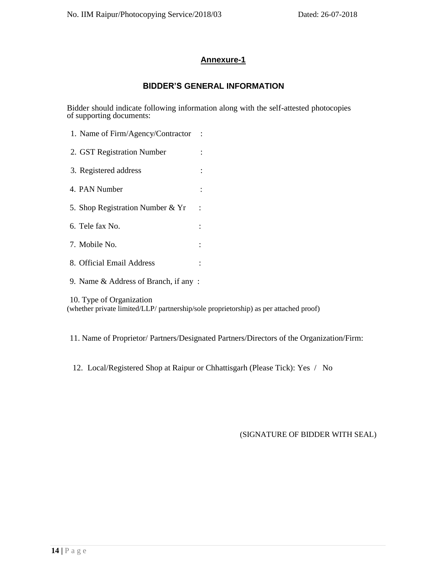# **Annexure-1**

# **BIDDER'S GENERAL INFORMATION**

Bidder should indicate following information along with the self-attested photocopies of supporting documents:

| 1. Name of Firm/Agency/Contractor    |                      |  |
|--------------------------------------|----------------------|--|
| 2. GST Registration Number           |                      |  |
| 3. Registered address                |                      |  |
| 4. PAN Number                        |                      |  |
| 5. Shop Registration Number & Yr     | $\ddot{\phantom{a}}$ |  |
| 6. Tele fax No.                      |                      |  |
| 7. Mobile No.                        |                      |  |
| 8. Official Email Address            |                      |  |
| 9. Name & Address of Branch, if any: |                      |  |
| 10. Type of Organization             |                      |  |

(whether private limited/LLP/ partnership/sole proprietorship) as per attached proof)

11. Name of Proprietor/ Partners/Designated Partners/Directors of the Organization/Firm:

12. Local/Registered Shop at Raipur or Chhattisgarh (Please Tick): Yes / No

# (SIGNATURE OF BIDDER WITH SEAL)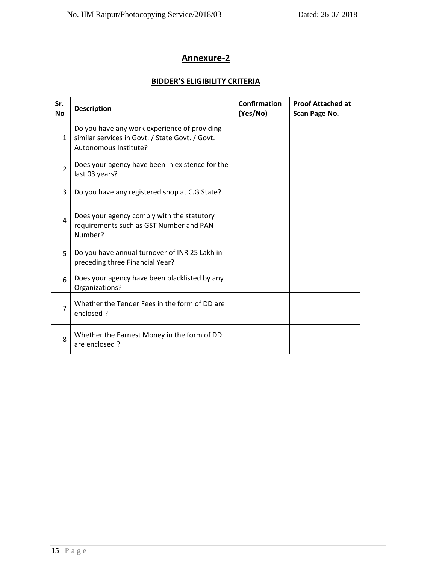# **Annexure-2**

# **BIDDER'S ELIGIBILITY CRITERIA**

| Sr.<br><b>No</b>      | <b>Description</b>                                                                                                       | <b>Confirmation</b><br>(Yes/No) | <b>Proof Attached at</b><br>Scan Page No. |
|-----------------------|--------------------------------------------------------------------------------------------------------------------------|---------------------------------|-------------------------------------------|
| $\mathbf{1}$          | Do you have any work experience of providing<br>similar services in Govt. / State Govt. / Govt.<br>Autonomous Institute? |                                 |                                           |
| $\overline{2}$        | Does your agency have been in existence for the<br>last 03 years?                                                        |                                 |                                           |
| 3                     | Do you have any registered shop at C.G State?                                                                            |                                 |                                           |
| 4                     | Does your agency comply with the statutory<br>requirements such as GST Number and PAN<br>Number?                         |                                 |                                           |
| 5                     | Do you have annual turnover of INR 25 Lakh in<br>preceding three Financial Year?                                         |                                 |                                           |
| 6                     | Does your agency have been blacklisted by any<br>Organizations?                                                          |                                 |                                           |
| $\overline{7}$        | Whether the Tender Fees in the form of DD are<br>enclosed ?                                                              |                                 |                                           |
| $\mathsf{\mathsf{R}}$ | Whether the Earnest Money in the form of DD<br>are enclosed?                                                             |                                 |                                           |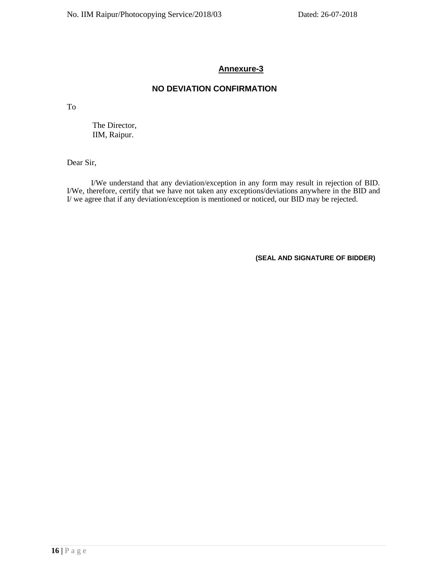# **Annexure-3**

# **NO DEVIATION CONFIRMATION**

To

The Director, IIM, Raipur.

Dear Sir,

I/We understand that any deviation/exception in any form may result in rejection of BID. I/We, therefore, certify that we have not taken any exceptions/deviations anywhere in the BID and I/ we agree that if any deviation/exception is mentioned or noticed, our BID may be rejected.

**(SEAL AND SIGNATURE OF BIDDER)**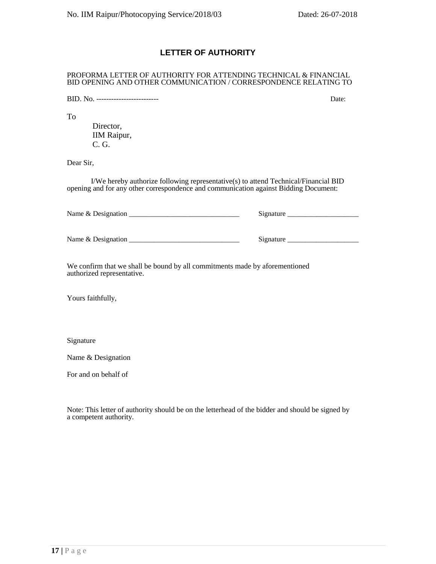# **LETTER OF AUTHORITY**

#### PROFORMA LETTER OF AUTHORITY FOR ATTENDING TECHNICAL & FINANCIAL BID OPENING AND OTHER COMMUNICATION / CORRESPONDENCE RELATING TO

BID. No. ------------------------- Date:

To

Director, IIM Raipur, C. G.

Dear Sir,

I/We hereby authorize following representative(s) to attend Technical/Financial BID opening and for any other correspondence and communication against Bidding Document:

| Name $&$ Designation | Signature |  |  |
|----------------------|-----------|--|--|
| Name & Designation   | Signature |  |  |

We confirm that we shall be bound by all commitments made by aforementioned authorized representative.

Yours faithfully,

Signature

Name & Designation

For and on behalf of

Note: This letter of authority should be on the letterhead of the bidder and should be signed by a competent authority.